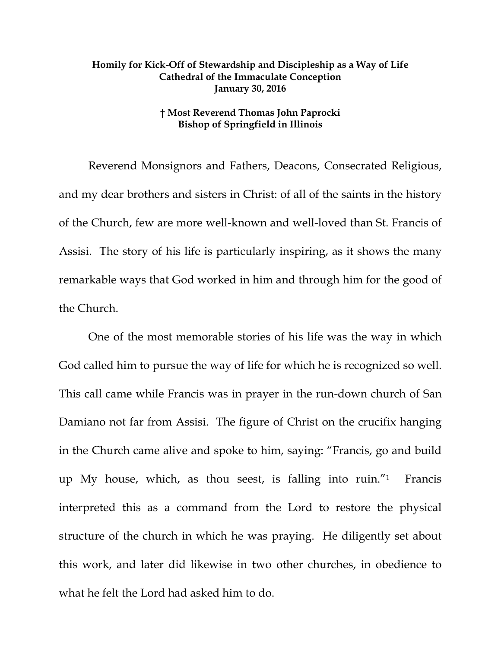## **Homily for Kick-Off of Stewardship and Discipleship as a Way of Life Cathedral of the Immaculate Conception January 30, 2016**

## **† Most Reverend Thomas John Paprocki Bishop of Springfield in Illinois**

Reverend Monsignors and Fathers, Deacons, Consecrated Religious, and my dear brothers and sisters in Christ: of all of the saints in the history of the Church, few are more well-known and well-loved than St. Francis of Assisi. The story of his life is particularly inspiring, as it shows the many remarkable ways that God worked in him and through him for the good of the Church.

One of the most memorable stories of his life was the way in which God called him to pursue the way of life for which he is recognized so well. This call came while Francis was in prayer in the run-down church of San Damiano not far from Assisi. The figure of Christ on the crucifix hanging in the Church came alive and spoke to him, saying: "Francis, go and build up My house, which, as thou seest, is falling into ruin."1 Francis interpreted this as a command from the Lord to restore the physical structure of the church in which he was praying. He diligently set about this work, and later did likewise in two other churches, in obedience to what he felt the Lord had asked him to do.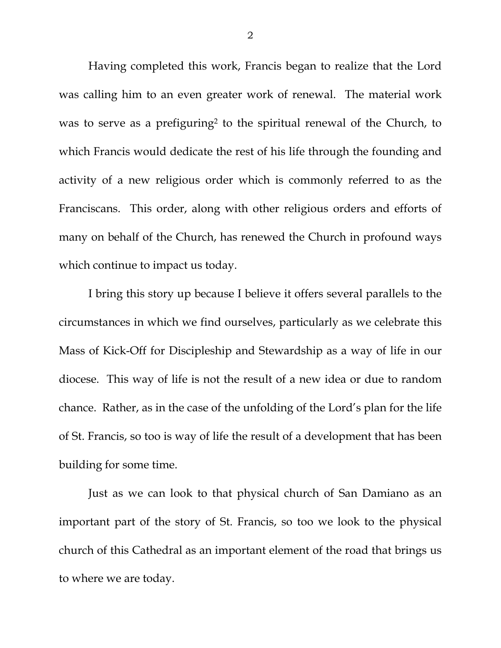Having completed this work, Francis began to realize that the Lord was calling him to an even greater work of renewal. The material work was to serve as a prefiguring<sup>2</sup> to the spiritual renewal of the Church, to which Francis would dedicate the rest of his life through the founding and activity of a new religious order which is commonly referred to as the Franciscans. This order, along with other religious orders and efforts of many on behalf of the Church, has renewed the Church in profound ways which continue to impact us today.

I bring this story up because I believe it offers several parallels to the circumstances in which we find ourselves, particularly as we celebrate this Mass of Kick-Off for Discipleship and Stewardship as a way of life in our diocese. This way of life is not the result of a new idea or due to random chance. Rather, as in the case of the unfolding of the Lord's plan for the life of St. Francis, so too is way of life the result of a development that has been building for some time.

Just as we can look to that physical church of San Damiano as an important part of the story of St. Francis, so too we look to the physical church of this Cathedral as an important element of the road that brings us to where we are today.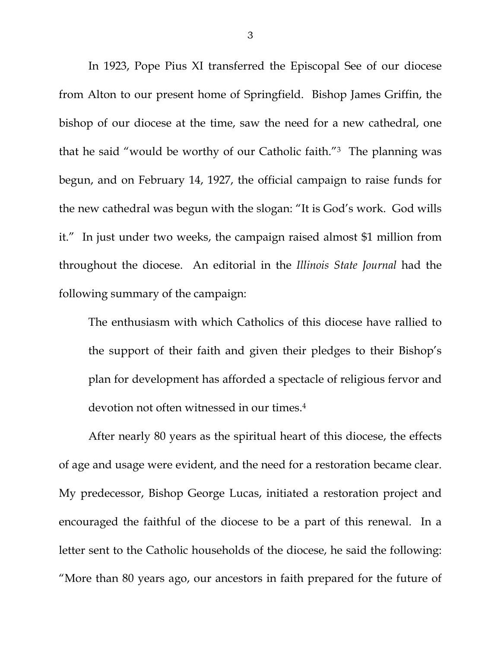In 1923, Pope Pius XI transferred the Episcopal See of our diocese from Alton to our present home of Springfield. Bishop James Griffin, the bishop of our diocese at the time, saw the need for a new cathedral, one that he said "would be worthy of our Catholic faith."3 The planning was begun, and on February 14, 1927, the official campaign to raise funds for the new cathedral was begun with the slogan: "It is God's work. God wills it." In just under two weeks, the campaign raised almost \$1 million from throughout the diocese. An editorial in the *Illinois State Journal* had the following summary of the campaign:

The enthusiasm with which Catholics of this diocese have rallied to the support of their faith and given their pledges to their Bishop's plan for development has afforded a spectacle of religious fervor and devotion not often witnessed in our times.4

After nearly 80 years as the spiritual heart of this diocese, the effects of age and usage were evident, and the need for a restoration became clear. My predecessor, Bishop George Lucas, initiated a restoration project and encouraged the faithful of the diocese to be a part of this renewal. In a letter sent to the Catholic households of the diocese, he said the following: "More than 80 years ago, our ancestors in faith prepared for the future of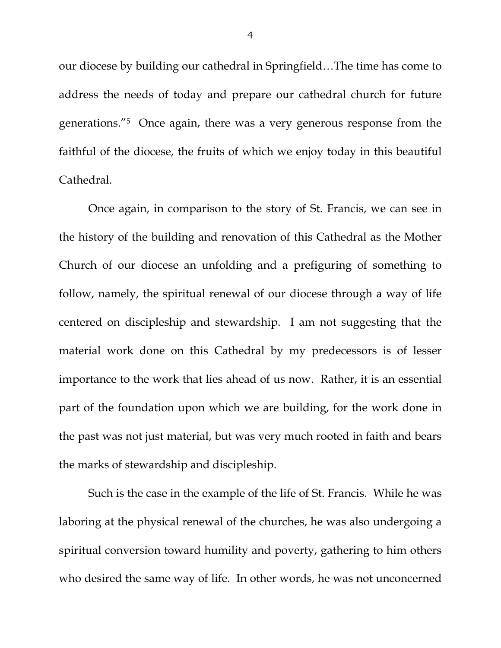our diocese by building our cathedral in Springfield…The time has come to address the needs of today and prepare our cathedral church for future generations."5 Once again, there was a very generous response from the faithful of the diocese, the fruits of which we enjoy today in this beautiful Cathedral.

Once again, in comparison to the story of St. Francis, we can see in the history of the building and renovation of this Cathedral as the Mother Church of our diocese an unfolding and a prefiguring of something to follow, namely, the spiritual renewal of our diocese through a way of life centered on discipleship and stewardship. I am not suggesting that the material work done on this Cathedral by my predecessors is of lesser importance to the work that lies ahead of us now. Rather, it is an essential part of the foundation upon which we are building, for the work done in the past was not just material, but was very much rooted in faith and bears the marks of stewardship and discipleship.

Such is the case in the example of the life of St. Francis. While he was laboring at the physical renewal of the churches, he was also undergoing a spiritual conversion toward humility and poverty, gathering to him others who desired the same way of life. In other words, he was not unconcerned

4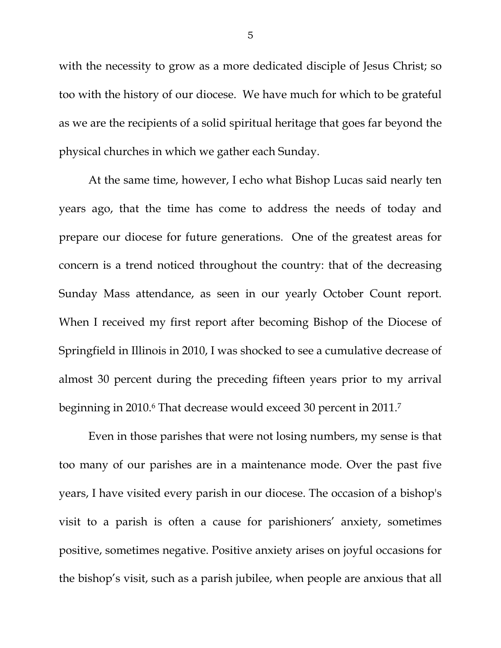with the necessity to grow as a more dedicated disciple of Jesus Christ; so too with the history of our diocese. We have much for which to be grateful as we are the recipients of a solid spiritual heritage that goes far beyond the physical churches in which we gather each Sunday.

At the same time, however, I echo what Bishop Lucas said nearly ten years ago, that the time has come to address the needs of today and prepare our diocese for future generations. One of the greatest areas for concern is a trend noticed throughout the country: that of the decreasing Sunday Mass attendance, as seen in our yearly October Count report. When I received my first report after becoming Bishop of the Diocese of Springfield in Illinois in 2010, I was shocked to see a cumulative decrease of almost 30 percent during the preceding fifteen years prior to my arrival beginning in 2010.6 That decrease would exceed 30 percent in 2011.7

Even in those parishes that were not losing numbers, my sense is that too many of our parishes are in a maintenance mode. Over the past five years, I have visited every parish in our diocese. The occasion of a bishop's visit to a parish is often a cause for parishioners' anxiety, sometimes positive, sometimes negative. Positive anxiety arises on joyful occasions for the bishop's visit, such as a parish jubilee, when people are anxious that all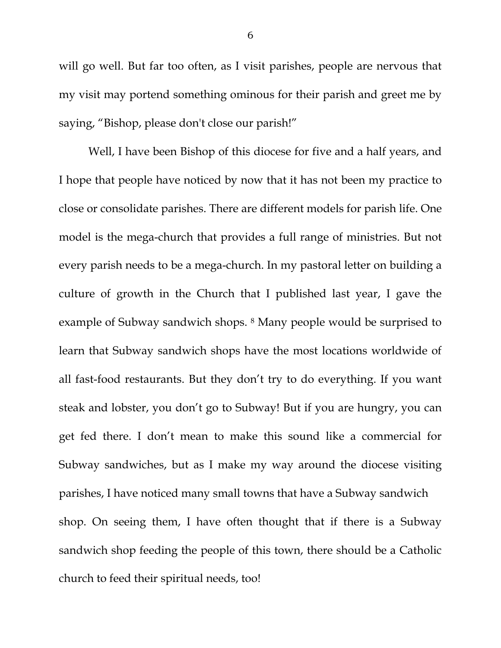will go well. But far too often, as I visit parishes, people are nervous that my visit may portend something ominous for their parish and greet me by saying, "Bishop, please don't close our parish!"

Well, I have been Bishop of this diocese for five and a half years, and I hope that people have noticed by now that it has not been my practice to close or consolidate parishes. There are different models for parish life. One model is the mega-church that provides a full range of ministries. But not every parish needs to be a mega-church. In my pastoral letter on building a culture of growth in the Church that I published last year, I gave the example of Subway sandwich shops. 8 Many people would be surprised to learn that Subway sandwich shops have the most locations worldwide of all fast-food restaurants. But they don't try to do everything. If you want steak and lobster, you don't go to Subway! But if you are hungry, you can get fed there. I don't mean to make this sound like a commercial for Subway sandwiches, but as I make my way around the diocese visiting parishes, I have noticed many small towns that have a Subway sandwich shop. On seeing them, I have often thought that if there is a Subway sandwich shop feeding the people of this town, there should be a Catholic church to feed their spiritual needs, too!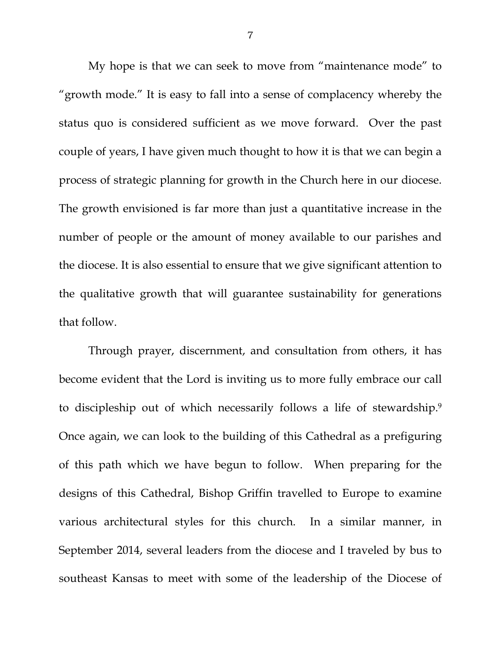My hope is that we can seek to move from "maintenance mode" to "growth mode." It is easy to fall into a sense of complacency whereby the status quo is considered sufficient as we move forward. Over the past couple of years, I have given much thought to how it is that we can begin a process of strategic planning for growth in the Church here in our diocese. The growth envisioned is far more than just a quantitative increase in the number of people or the amount of money available to our parishes and the diocese. It is also essential to ensure that we give significant attention to the qualitative growth that will guarantee sustainability for generations that follow.

Through prayer, discernment, and consultation from others, it has become evident that the Lord is inviting us to more fully embrace our call to discipleship out of which necessarily follows a life of stewardship.9 Once again, we can look to the building of this Cathedral as a prefiguring of this path which we have begun to follow. When preparing for the designs of this Cathedral, Bishop Griffin travelled to Europe to examine various architectural styles for this church. In a similar manner, in September 2014, several leaders from the diocese and I traveled by bus to southeast Kansas to meet with some of the leadership of the Diocese of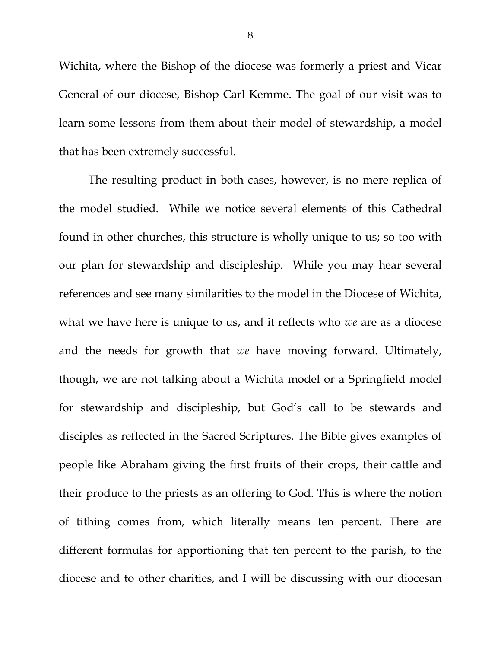Wichita, where the Bishop of the diocese was formerly a priest and Vicar General of our diocese, Bishop Carl Kemme. The goal of our visit was to learn some lessons from them about their model of stewardship, a model that has been extremely successful.

The resulting product in both cases, however, is no mere replica of the model studied. While we notice several elements of this Cathedral found in other churches, this structure is wholly unique to us; so too with our plan for stewardship and discipleship. While you may hear several references and see many similarities to the model in the Diocese of Wichita, what we have here is unique to us, and it reflects who *we* are as a diocese and the needs for growth that *we* have moving forward. Ultimately, though, we are not talking about a Wichita model or a Springfield model for stewardship and discipleship, but God's call to be stewards and disciples as reflected in the Sacred Scriptures. The Bible gives examples of people like Abraham giving the first fruits of their crops, their cattle and their produce to the priests as an offering to God. This is where the notion of tithing comes from, which literally means ten percent. There are different formulas for apportioning that ten percent to the parish, to the diocese and to other charities, and I will be discussing with our diocesan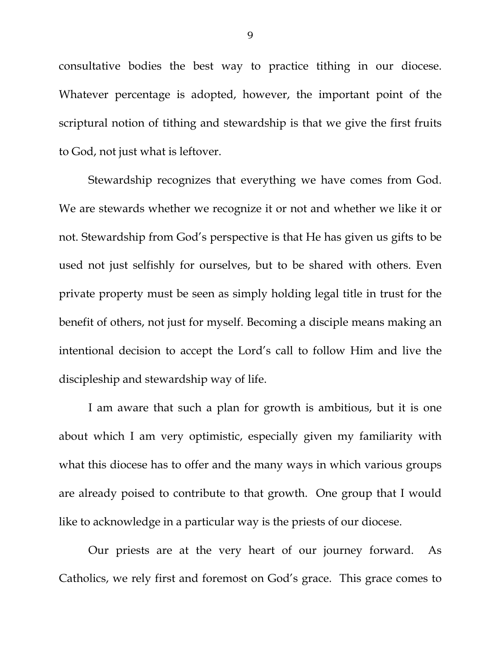consultative bodies the best way to practice tithing in our diocese. Whatever percentage is adopted, however, the important point of the scriptural notion of tithing and stewardship is that we give the first fruits to God, not just what is leftover.

Stewardship recognizes that everything we have comes from God. We are stewards whether we recognize it or not and whether we like it or not. Stewardship from God's perspective is that He has given us gifts to be used not just selfishly for ourselves, but to be shared with others. Even private property must be seen as simply holding legal title in trust for the benefit of others, not just for myself. Becoming a disciple means making an intentional decision to accept the Lord's call to follow Him and live the discipleship and stewardship way of life.

I am aware that such a plan for growth is ambitious, but it is one about which I am very optimistic, especially given my familiarity with what this diocese has to offer and the many ways in which various groups are already poised to contribute to that growth. One group that I would like to acknowledge in a particular way is the priests of our diocese.

Our priests are at the very heart of our journey forward. As Catholics, we rely first and foremost on God's grace. This grace comes to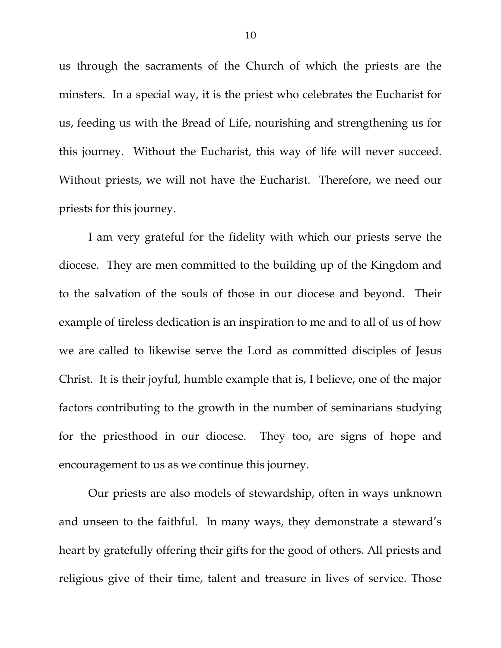us through the sacraments of the Church of which the priests are the minsters. In a special way, it is the priest who celebrates the Eucharist for us, feeding us with the Bread of Life, nourishing and strengthening us for this journey. Without the Eucharist, this way of life will never succeed. Without priests, we will not have the Eucharist. Therefore, we need our priests for this journey.

I am very grateful for the fidelity with which our priests serve the diocese. They are men committed to the building up of the Kingdom and to the salvation of the souls of those in our diocese and beyond. Their example of tireless dedication is an inspiration to me and to all of us of how we are called to likewise serve the Lord as committed disciples of Jesus Christ. It is their joyful, humble example that is, I believe, one of the major factors contributing to the growth in the number of seminarians studying for the priesthood in our diocese. They too, are signs of hope and encouragement to us as we continue this journey.

Our priests are also models of stewardship, often in ways unknown and unseen to the faithful. In many ways, they demonstrate a steward's heart by gratefully offering their gifts for the good of others. All priests and religious give of their time, talent and treasure in lives of service. Those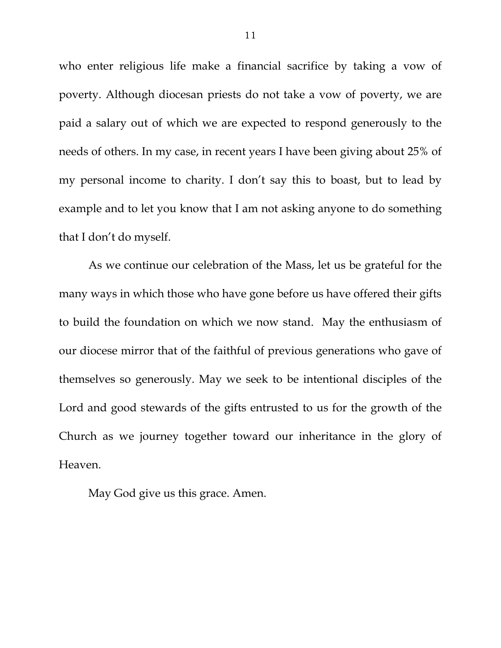who enter religious life make a financial sacrifice by taking a vow of poverty. Although diocesan priests do not take a vow of poverty, we are paid a salary out of which we are expected to respond generously to the needs of others. In my case, in recent years I have been giving about 25% of my personal income to charity. I don't say this to boast, but to lead by example and to let you know that I am not asking anyone to do something that I don't do myself.

As we continue our celebration of the Mass, let us be grateful for the many ways in which those who have gone before us have offered their gifts to build the foundation on which we now stand. May the enthusiasm of our diocese mirror that of the faithful of previous generations who gave of themselves so generously. May we seek to be intentional disciples of the Lord and good stewards of the gifts entrusted to us for the growth of the Church as we journey together toward our inheritance in the glory of Heaven.

May God give us this grace. Amen.